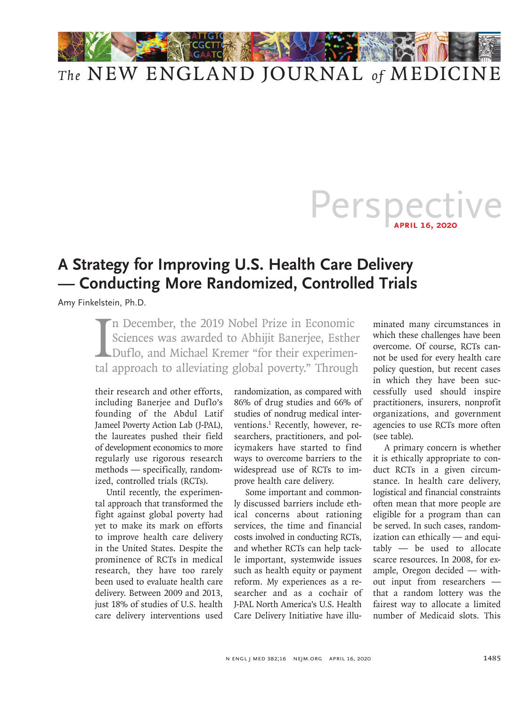

## Perspective **April 16, 2020**

## **A Strategy for Improving U.S. Health Care Delivery — Conducting More Randomized, Controlled Trials**

Amy Finkelstein, Ph.D.

In December, the 2019 Nobel Prize in Economic<br>Sciences was awarded to Abhijit Banerjee, Esther<br>Duflo, and Michael Kremer "for their experimen-<br>tal approach to alleviating global poverty." Through Sciences was awarded to Abhijit Banerjee, Esther Duflo, and Michael Kremer "for their experimental approach to alleviating global poverty." Through

their research and other efforts, including Banerjee and Duflo's founding of the Abdul Latif Jameel Poverty Action Lab (J-PAL), the laureates pushed their field of development economics to more regularly use rigorous research methods — specifically, randomized, controlled trials (RCTs).

Until recently, the experimental approach that transformed the fight against global poverty had yet to make its mark on efforts to improve health care delivery in the United States. Despite the prominence of RCTs in medical research, they have too rarely been used to evaluate health care delivery. Between 2009 and 2013, just 18% of studies of U.S. health care delivery interventions used randomization, as compared with 86% of drug studies and 66% of studies of nondrug medical interventions.1 Recently, however, researchers, practitioners, and policymakers have started to find ways to overcome barriers to the widespread use of RCTs to improve health care delivery.

Some important and commonly discussed barriers include ethical concerns about rationing services, the time and financial costs involved in conducting RCTs, and whether RCTs can help tackle important, systemwide issues such as health equity or payment reform. My experiences as a researcher and as a cochair of J-PAL North America's U.S. Health Care Delivery Initiative have illuminated many circumstances in which these challenges have been overcome. Of course, RCTs cannot be used for every health care policy question, but recent cases in which they have been successfully used should inspire practitioners, insurers, nonprofit organizations, and government agencies to use RCTs more often (see table).

A primary concern is whether it is ethically appropriate to conduct RCTs in a given circumstance. In health care delivery, logistical and financial constraints often mean that more people are eligible for a program than can be served. In such cases, randomization can ethically — and equitably — be used to allocate scarce resources. In 2008, for example, Oregon decided — without input from researchers that a random lottery was the fairest way to allocate a limited number of Medicaid slots. This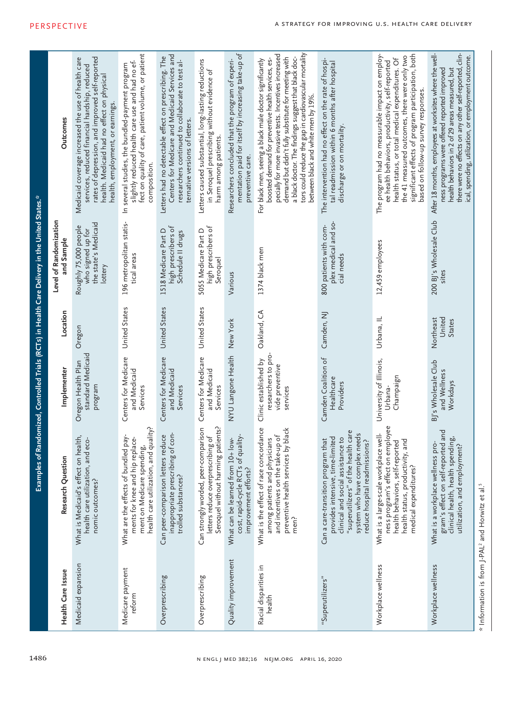|                                                                          |                                                                                                                                                                                                                      |                                                                             |                                      | Examples of Randomized, Controlled Trials (RCTs) in Health Care Delivery in the United States.* |                                                                                                                                                                                                                                                                                                                                                                                        |  |
|--------------------------------------------------------------------------|----------------------------------------------------------------------------------------------------------------------------------------------------------------------------------------------------------------------|-----------------------------------------------------------------------------|--------------------------------------|-------------------------------------------------------------------------------------------------|----------------------------------------------------------------------------------------------------------------------------------------------------------------------------------------------------------------------------------------------------------------------------------------------------------------------------------------------------------------------------------------|--|
| Health Care Issue                                                        | Research Question                                                                                                                                                                                                    | Implementer                                                                 | Location                             | Level of Randomization<br>and Sample                                                            | <b>Outcomes</b>                                                                                                                                                                                                                                                                                                                                                                        |  |
| Medicaid expansion                                                       | What is Medicaid's effect on health,<br>health care utilization, and eco-<br>nomic outcomes?                                                                                                                         | standard Medicaid<br>Oregon Health Plan<br>program                          | Oregon                               | the state's Medicaid<br>Roughly 75,000 people<br>who signed up for<br>lottery                   | rates of depression, and improved self-reported<br>Medicaid coverage increased the use of health care<br>services, reduced financial hardship, reduced<br>health. Medicaid had no effect on physical<br>health, employment, or earnings.                                                                                                                                               |  |
| Medicare payment<br>reform                                               | health care utilization, and quality?<br>What are the effects of bundled pay-<br>ments for knee and hip replace-<br>ment on Medicare spending,                                                                       | Centers for Medicare<br>and Medicaid<br>Services                            | United States                        | 196 metropolitan statis-<br>tical areas                                                         | fect on quality of care, patient volume, or patient<br>slightly reduced health care use and had no ef-<br>In several studies, the bundled-payment program<br>composition.                                                                                                                                                                                                              |  |
| Overprescribing                                                          | inappropriate prescribing of con-<br>Can peer-comparison letters reduce<br>trolled substances?                                                                                                                       | Centers for Medicare<br>and Medicaid<br>Services                            | United States                        | high prescribers of<br>1518 Medicare Part D<br>Schedule II drugs                                | Centers for Medicare and Medicaid Services and<br>Letters had no detectable effect on prescribing. The<br>researchers continued to collaborate to test al-<br>ternative versions of letters.                                                                                                                                                                                           |  |
| Overprescribing                                                          | Seroquel without harming patients?<br>Can strongly worded, peer-comparison<br>letters reduce overprescribing of                                                                                                      | Centers for Medicare<br>and Medicaid<br>Services                            | United States                        | high prescribers of<br>5055 Medicare Part D<br>Seroquel                                         | Letters caused substantial, long-lasting reductions<br>in Seroquel prescribing without evidence of<br>harm among patients.                                                                                                                                                                                                                                                             |  |
| Quality improvement                                                      | cost, rapid-cycle RCTs of quality-<br>What can be learned from 10+ low-<br>improvement efforts?                                                                                                                      | NYU Langone Health New York                                                 |                                      | Various                                                                                         | mentation paid for itself by increasing take-up of<br>Researchers concluded that the program of experi-<br>preventive care.                                                                                                                                                                                                                                                            |  |
| Racial disparities in<br>health                                          | What is the effect of race concordance<br>preventive health services by black<br>and incentives on the take-up of<br>among patients and physicians<br>men?                                                           | researchers to pro-<br>Clinic established by<br>vide preventive<br>services | Oakland, CA                          | 1374 black men                                                                                  | tors could reduce the gap in cardiovascular mortality<br>pecially for more invasive tests. Incentives increased<br>a black doctor. The findings suggest that black doc-<br>demand but didn't fully substitute for meeting with<br>boosted demand for preventive health services, es-<br>For black men, seeing a black male doctor significantly<br>between black and white men by 19%. |  |
| "Superutilizers"                                                         | "superutilizers" of the health care<br>system who have complex needs<br>provides intensive, time-limited<br>clinical and social assistance to<br>Can a care-transition program that<br>reduce hospital readmissions? | Camden Coalition of<br>Healthcare<br>Providers                              | Camden, NJ                           | plex medical and so-<br>800 patients with com-<br>cial needs                                    | The intervention had no effect on the rate of hospi-<br>tal readmission within 6 months after hospital<br>discharge or on mortality.                                                                                                                                                                                                                                                   |  |
| Workplace wellness                                                       | on employee<br>What is a large-scale workplace well-<br>health status, productivity, and<br>health behaviors, self-reported<br>medical expenditures?<br>ness program's effect                                        | University of Illinois,<br>Champaign<br>Urbana-                             | Urbana, IL                           | 12,459 employees                                                                                | The program had no measurable impact on employ-<br>significant effects of program participation, both<br>the 41 measured outcomes, there were only two<br>health status, or total medical expenditures. Of<br>ee health behaviors, productivity, self-reported<br>based on follow-up survey responses.                                                                                 |  |
| Workplace wellness                                                       | gram's effect on self-reported and<br>clinical health, health spending,<br>What is a workplace wellness pro-<br>utilization, and employment?                                                                         | BJ's Wholesale Club<br>and Wellness<br>Workdays                             | United<br>Northeast<br><b>States</b> | 200 BJ's Wholesale Club<br>sites                                                                | After 18 months, employees at worksites where the well-<br>there were no effects on any other self-reported, clin-<br>ical, spending, utilization, or employment outcome.<br>health behaviors in 2 of 29 areas measured, but<br>ness programs were offered reported improved                                                                                                           |  |
| * Information is from J-PAL <sup>2</sup> and Horwitz et al. <sup>5</sup> |                                                                                                                                                                                                                      |                                                                             |                                      |                                                                                                 |                                                                                                                                                                                                                                                                                                                                                                                        |  |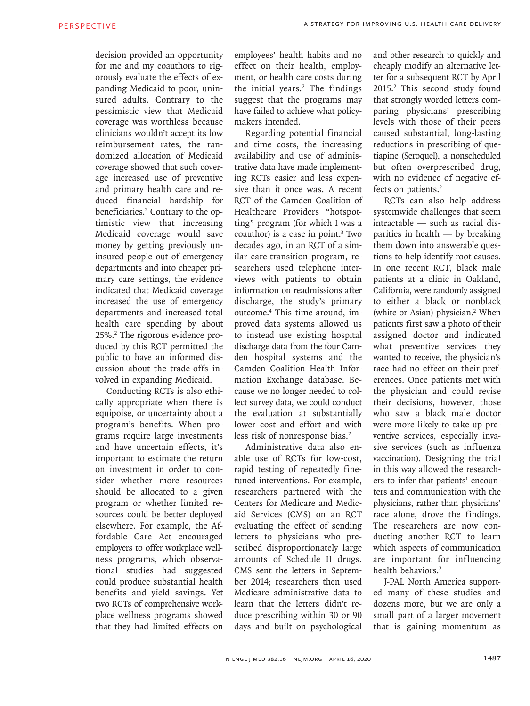decision provided an opportunity for me and my coauthors to rigorously evaluate the effects of expanding Medicaid to poor, uninsured adults. Contrary to the pessimistic view that Medicaid coverage was worthless because clinicians wouldn't accept its low reimbursement rates, the randomized allocation of Medicaid coverage showed that such coverage increased use of preventive and primary health care and reduced financial hardship for beneficiaries.<sup>2</sup> Contrary to the optimistic view that increasing Medicaid coverage would save money by getting previously uninsured people out of emergency departments and into cheaper primary care settings, the evidence indicated that Medicaid coverage increased the use of emergency departments and increased total health care spending by about 25%.<sup>2</sup> The rigorous evidence produced by this RCT permitted the public to have an informed discussion about the trade-offs involved in expanding Medicaid.

Conducting RCTs is also ethically appropriate when there is equipoise, or uncertainty about a program's benefits. When programs require large investments and have uncertain effects, it's important to estimate the return on investment in order to consider whether more resources should be allocated to a given program or whether limited resources could be better deployed elsewhere. For example, the Affordable Care Act encouraged employers to offer workplace wellness programs, which observational studies had suggested could produce substantial health benefits and yield savings. Yet two RCTs of comprehensive workplace wellness programs showed that they had limited effects on

employees' health habits and no effect on their health, employment, or health care costs during the initial years.<sup>2</sup> The findings suggest that the programs may have failed to achieve what policymakers intended.

Regarding potential financial and time costs, the increasing availability and use of administrative data have made implementing RCTs easier and less expensive than it once was. A recent RCT of the Camden Coalition of Healthcare Providers "hotspotting" program (for which I was a coauthor) is a case in point.<sup>3</sup> Two decades ago, in an RCT of a similar care-transition program, researchers used telephone interviews with patients to obtain information on readmissions after discharge, the study's primary outcome.4 This time around, improved data systems allowed us to instead use existing hospital discharge data from the four Camden hospital systems and the Camden Coalition Health Information Exchange database. Because we no longer needed to collect survey data, we could conduct the evaluation at substantially lower cost and effort and with less risk of nonresponse bias.<sup>2</sup>

Administrative data also enable use of RCTs for low-cost, rapid testing of repeatedly finetuned interventions. For example, researchers partnered with the Centers for Medicare and Medicaid Services (CMS) on an RCT evaluating the effect of sending letters to physicians who prescribed disproportionately large amounts of Schedule II drugs. CMS sent the letters in September 2014; researchers then used Medicare administrative data to learn that the letters didn't reduce prescribing within 30 or 90 days and built on psychological

and other research to quickly and cheaply modify an alternative letter for a subsequent RCT by April 2015.2 This second study found that strongly worded letters comparing physicians' prescribing levels with those of their peers caused substantial, long-lasting reductions in prescribing of quetiapine (Seroquel), a nonscheduled but often overprescribed drug, with no evidence of negative effects on patients.<sup>2</sup>

RCTs can also help address systemwide challenges that seem intractable — such as racial disparities in health — by breaking them down into answerable questions to help identify root causes. In one recent RCT, black male patients at a clinic in Oakland, California, were randomly assigned to either a black or nonblack (white or Asian) physician.<sup>2</sup> When patients first saw a photo of their assigned doctor and indicated what preventive services they wanted to receive, the physician's race had no effect on their preferences. Once patients met with the physician and could revise their decisions, however, those who saw a black male doctor were more likely to take up preventive services, especially invasive services (such as influenza vaccination). Designing the trial in this way allowed the researchers to infer that patients' encounters and communication with the physicians, rather than physicians' race alone, drove the findings. The researchers are now conducting another RCT to learn which aspects of communication are important for influencing health behaviors.<sup>2</sup>

J-PAL North America supported many of these studies and dozens more, but we are only a small part of a larger movement that is gaining momentum as